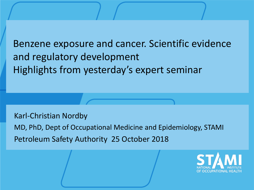Benzene exposure and cancer. Scientific evidence and regulatory development Highlights from yesterday's expert seminar

Karl-Christian Nordby

MD, PhD, Dept of Occupational Medicine and Epidemiology, STAMI Petroleum Safety Authority 25 October 2018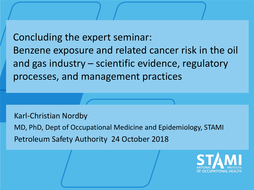Concluding the expert seminar: Benzene exposure and related cancer risk in the oil and gas industry – scientific evidence, regulatory processes, and management practices

Karl-Christian Nordby MD, PhD, Dept of Occupational Medicine and Epidemiology, STAMI Petroleum Safety Authority 24 October 2018

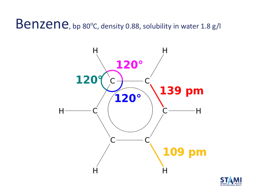Benzene, bp 80°C, density 0.88, solubility in water 1.8 g/l



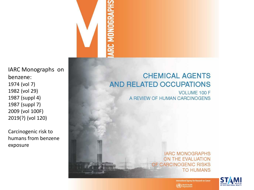IARC Monographs on benzene: 1974 (vol 7) 1982 (vol 29) 1987 (suppl 4) 1987 (suppl 7) 2009 (vol 100F) 2019(?) (vol 120)

Carcinogenic risk to humans from benzene exposure

#### **CHEMICAL AGENTS AND RELATED OCCUPATIONS**

**VOLUME 100 F** A REVIEW OF HUMAN CARCINOGENS

> **IARC MONOGRAPHS** ON THE EVALUATION OF CARCINOGENIC RISKS **TO HUMANS**



ternational Agency for Research on Cancer World Health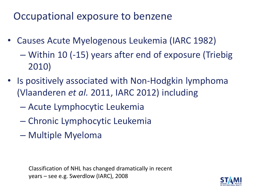Occupational exposure to benzene

- Causes Acute Myelogenous Leukemia (IARC 1982)
	- Within 10 (-15) years after end of exposure (Triebig 2010)
- Is positively associated with Non-Hodgkin lymphoma (Vlaanderen *et al.* 2011, IARC 2012) including
	- Acute Lymphocytic Leukemia
	- Chronic Lymphocytic Leukemia
	- Multiple Myeloma

Classification of NHL has changed dramatically in recent years – see e.g. Swerdlow (IARC), 2008

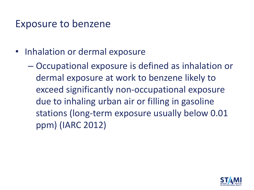#### Exposure to benzene

- Inhalation or dermal exposure
	- Occupational exposure is defined as inhalation or dermal exposure at work to benzene likely to exceed significantly non-occupational exposure due to inhaling urban air or filling in gasoline stations (long-term exposure usually below 0.01 ppm) (IARC 2012)

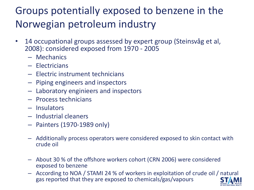### Groups potentially exposed to benzene in the Norwegian petroleum industry

- 14 occupational groups assessed by expert group (Steinsvåg et al, 2008): considered exposed from 1970 - 2005
	- Mechanics
	- Electricians
	- Electric instrument technicians
	- Piping engineers and inspectors
	- Laboratory enginieers and inspectors
	- Process technicians
	- Insulators
	- Industrial cleaners
	- Painters (1970-1989 only)
	- Additionally process operators were considered exposed to skin contact with crude oil
	- About 30 % of the offshore workers cohort (CRN 2006) were considered exposed to benzene
	- According to NOA / STAMI 24 % of workers in exploitation of crude oil / natural gas reported that they are exposed to chemicals/gas/vapours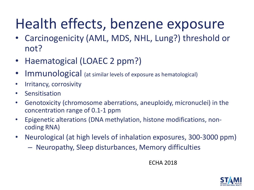### Health effects, benzene exposure

- Carcinogenicity (AML, MDS, NHL, Lung?) threshold or not?
- Haematogical (LOAEC 2 ppm?)
- Immunological (at similar levels of exposure as hematological)
- Irritancy, corrosivity
- Sensitisation
- Genotoxicity (chromosome aberrations, aneuploidy, micronuclei) in the concentration range of 0.1-1 ppm
- Epigenetic alterations (DNA methylation, histone modifications, noncoding RNA)
- Neurological (at high levels of inhalation exposures, 300-3000 ppm)
	- Neuropathy, Sleep disturbances, Memory difficulties

ECHA 2018

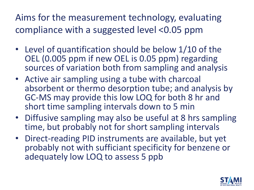Aims for the measurement technology, evaluating compliance with a suggested level <0.05 ppm

- Level of quantification should be below 1/10 of the OEL (0.005 ppm if new OEL is 0.05 ppm) regarding sources of variation both from sampling and analysis
- Active air sampling using a tube with charcoal absorbent or thermo desorption tube; and analysis by GC-MS may provide this low LOQ for both 8 hr and short time sampling intervals down to 5 min
- Diffusive sampling may also be useful at 8 hrs sampling time, but probably not for short sampling intervals
- Direct-reading PID instruments are available, but yet probably not with sufficiant specificity for benzene or adequately low LOQ to assess 5 ppb

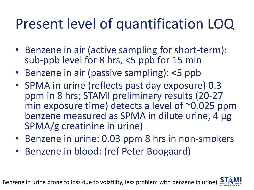### Present level of quantification LOQ

- Benzene in air (active sampling for short-term): sub-ppb level for 8 hrs, <5 ppb for 15 min
- Benzene in air (passive sampling): <5 ppb
- SPMA in urine (reflects past day exposure) 0.3 ppm in 8 hrs; STAMI preliminary results (20-27 min exposure time) detects a level of ~0.025 ppm benzene measured as SPMA in dilute urine, 4 µg SPMA/g creatinine in urine)
- Benzene in urine: 0.03 ppm 8 hrs in non-smokers
- Benzene in blood: (ref Peter Boogaard)

Benzene in urine prone to loss due to volatility, less problem with benzene in urine)

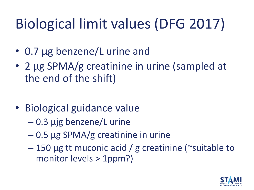## Biological limit values (DFG 2017)

- 0.7 µg benzene/L urine and
- 2 µg SPMA/g creatinine in urine (sampled at the end of the shift)
- Biological guidance value
	- 0.3 µjg benzene/L urine
	- 0.5 µg SPMA/g creatinine in urine
	- 150 µg tt muconic acid / g creatinine (~suitable to monitor levels > 1ppm?)

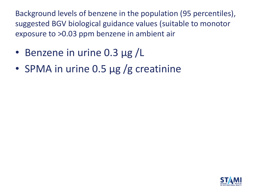Background levels of benzene in the population (95 percentiles), suggested BGV biological guidance values (suitable to monotor exposure to >0.03 ppm benzene in ambient air

- Benzene in urine 0.3 µg /L
- SPMA in urine 0.5 µg /g creatinine

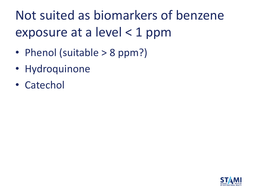### Not suited as biomarkers of benzene exposure at a level < 1 ppm

- Phenol (suitable > 8 ppm?)
- Hydroquinone
- Catechol

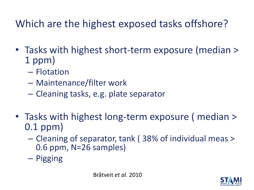### Which are the highest exposed tasks offshore?

- Tasks with highest short-term exposure (median > 1 ppm)
	- Flotation
	- Maintenance/filter work
	- Cleaning tasks, e.g. plate separator
- Tasks with highest long-term exposure ( median > 0.1 ppm)
	- Cleaning of separator, tank ( 38% of individual meas > 0.6 ppm, N=26 samples)
	- Pigging

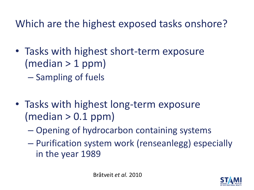Which are the highest exposed tasks onshore?

- Tasks with highest short-term exposure  $(median > 1 ppm)$ 
	- Sampling of fuels
- Tasks with highest long-term exposure  $(median > 0.1$  ppm)
	- Opening of hydrocarbon containing systems
	- Purification system work (renseanlegg) especially in the year 1989

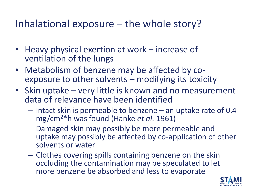#### Inhalational exposure – the whole story?

- Heavy physical exertion at work increase of ventilation of the lungs
- Metabolism of benzene may be affected by coexposure to other solvents – modifying its toxicity
- Skin uptake very little is known and no measurement data of relevance have been identified
	- Intact skin is permeable to benzene an uptake rate of 0.4 mg/cm<sup>2</sup>\*h was found (Hanke *et al.* 1961)
	- Damaged skin may possibly be more permeable and uptake may possibly be affected by co-application of other solvents or water
	- Clothes covering spills containing benzene on the skin occluding the contamination may be speculated to let more benzene be absorbed and less to evaporate

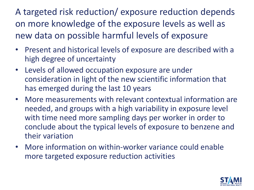A targeted risk reduction/ exposure reduction depends on more knowledge of the exposure levels as well as new data on possible harmful levels of exposure

- Present and historical levels of exposure are described with a high degree of uncertainty
- Levels of allowed occupation exposure are under consideration in light of the new scientific information that has emerged during the last 10 years
- More measurements with relevant contextual information are needed, and groups with a high variability in exposure level with time need more sampling days per worker in order to conclude about the typical levels of exposure to benzene and their variation
- More information on within-worker variance could enable more targeted exposure reduction activities